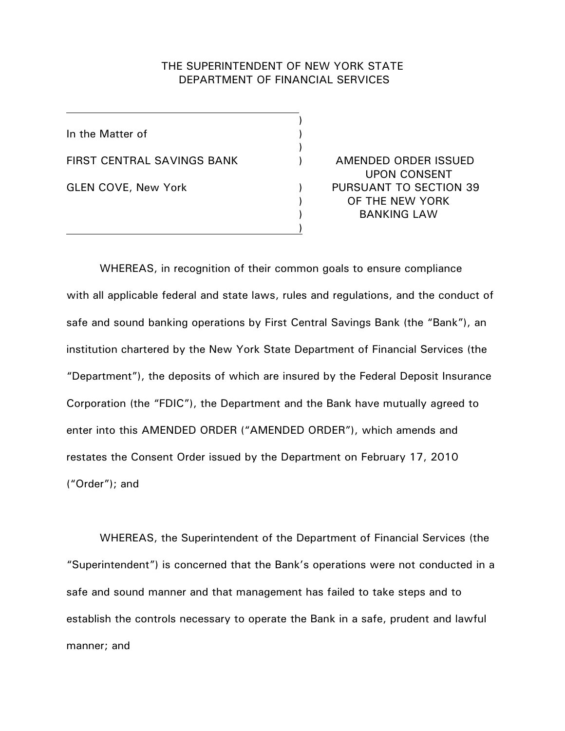# THE SUPERINTENDENT OF NEW YORK STATE DEPARTMENT OF FINANCIAL SERVICES

)

 $\lambda$ 

)

In the Matter of (1) FIRST CENTRAL SAVINGS BANK ) AMENDED ORDER ISSUED GLEN COVE, New York (a) The Section of the Section 39 (GLEN COVE, 1998)

UPON CONSENT ) OF THE NEW YORK ) BANKING LAW

WHEREAS, in recognition of their common goals to ensure compliance with all applicable federal and state laws, rules and regulations, and the conduct of safe and sound banking operations by First Central Savings Bank (the "Bank"), an institution chartered by the New York State Department of Financial Services (the "Department"), the deposits of which are insured by the Federal Deposit Insurance Corporation (the "FDIC"), the Department and the Bank have mutually agreed to enter into this AMENDED ORDER ("AMENDED ORDER"), which amends and restates the Consent Order issued by the Department on February 17, 2010 ("Order"); and

WHEREAS, the Superintendent of the Department of Financial Services (the "Superintendent") is concerned that the Bank's operations were not conducted in a safe and sound manner and that management has failed to take steps and to establish the controls necessary to operate the Bank in a safe, prudent and lawful manner; and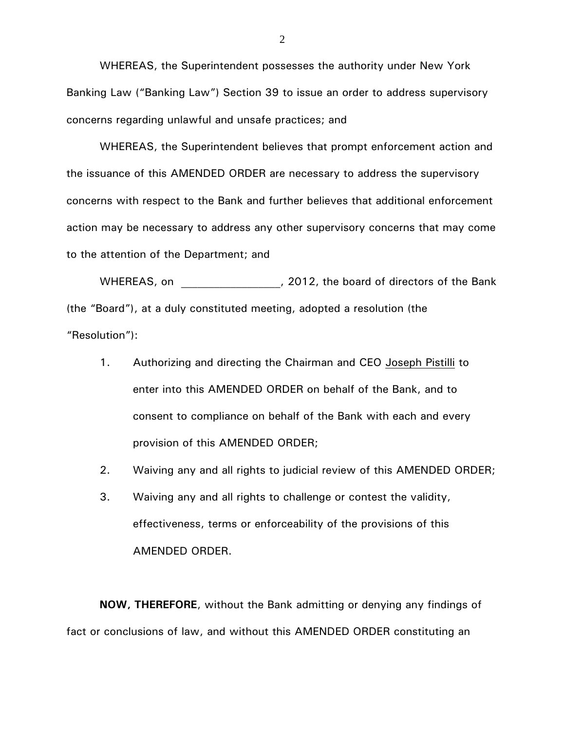WHEREAS, the Superintendent possesses the authority under New York Banking Law ("Banking Law") Section 39 to issue an order to address supervisory concerns regarding unlawful and unsafe practices; and

WHEREAS, the Superintendent believes that prompt enforcement action and the issuance of this AMENDED ORDER are necessary to address the supervisory concerns with respect to the Bank and further believes that additional enforcement action may be necessary to address any other supervisory concerns that may come to the attention of the Department; and

WHEREAS, on \_\_\_\_\_\_\_\_\_\_\_\_\_\_\_\_, 2012, the board of directors of the Bank (the "Board"), at a duly constituted meeting, adopted a resolution (the "Resolution"):

- 1. Authorizing and directing the Chairman and CEO Joseph Pistilli to enter into this AMENDED ORDER on behalf of the Bank, and to consent to compliance on behalf of the Bank with each and every provision of this AMENDED ORDER;
- 2. Waiving any and all rights to judicial review of this AMENDED ORDER;
- 3. Waiving any and all rights to challenge or contest the validity, effectiveness, terms or enforceability of the provisions of this AMENDED ORDER.

**NOW, THEREFORE**, without the Bank admitting or denying any findings of fact or conclusions of law, and without this AMENDED ORDER constituting an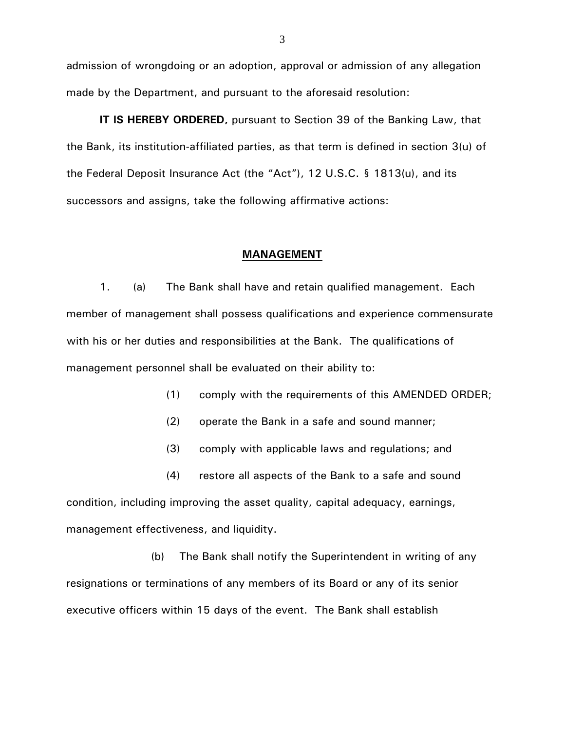admission of wrongdoing or an adoption, approval or admission of any allegation made by the Department, and pursuant to the aforesaid resolution:

**IT IS HEREBY ORDERED,** pursuant to Section 39 of the Banking Law, that the Bank, its institution-affiliated parties, as that term is defined in section 3(u) of the Federal Deposit Insurance Act (the "Act"), 12 U.S.C. § 1813(u), and its successors and assigns, take the following affirmative actions:

### **MANAGEMENT**

1. (a) The Bank shall have and retain qualified management. Each member of management shall possess qualifications and experience commensurate with his or her duties and responsibilities at the Bank. The qualifications of management personnel shall be evaluated on their ability to:

- (1) comply with the requirements of this AMENDED ORDER;
- (2) operate the Bank in a safe and sound manner;
- (3) comply with applicable laws and regulations; and

(4) restore all aspects of the Bank to a safe and sound condition, including improving the asset quality, capital adequacy, earnings, management effectiveness, and liquidity.

 (b) The Bank shall notify the Superintendent in writing of any resignations or terminations of any members of its Board or any of its senior executive officers within 15 days of the event. The Bank shall establish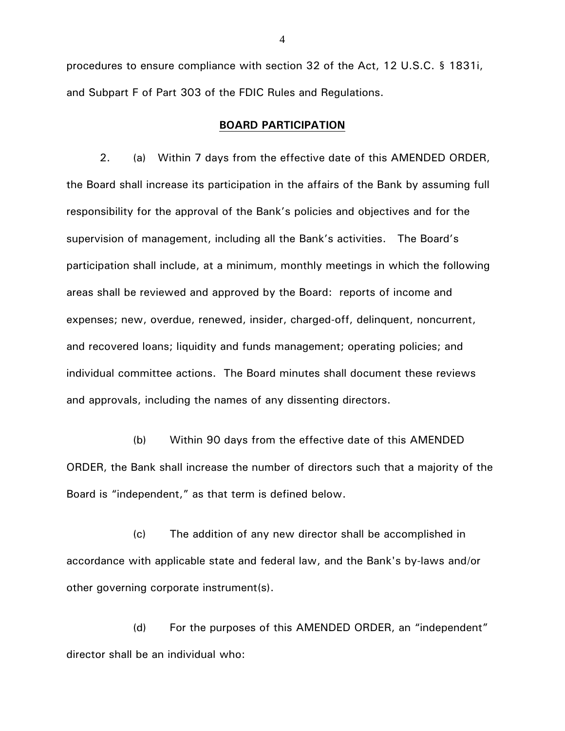procedures to ensure compliance with section 32 of the Act, 12 U.S.C. § 1831i, and Subpart F of Part 303 of the FDIC Rules and Regulations.

### **BOARD PARTICIPATION**

2. (a) Within 7 days from the effective date of this AMENDED ORDER, the Board shall increase its participation in the affairs of the Bank by assuming full responsibility for the approval of the Bank's policies and objectives and for the supervision of management, including all the Bank's activities. The Board's participation shall include, at a minimum, monthly meetings in which the following areas shall be reviewed and approved by the Board: reports of income and expenses; new, overdue, renewed, insider, charged-off, delinquent, noncurrent, and recovered loans; liquidity and funds management; operating policies; and individual committee actions. The Board minutes shall document these reviews and approvals, including the names of any dissenting directors.

(b) Within 90 days from the effective date of this AMENDED ORDER, the Bank shall increase the number of directors such that a majority of the Board is "independent," as that term is defined below.

(c) The addition of any new director shall be accomplished in accordance with applicable state and federal law, and the Bank's by-laws and/or other governing corporate instrument(s).

(d) For the purposes of this AMENDED ORDER, an "independent" director shall be an individual who: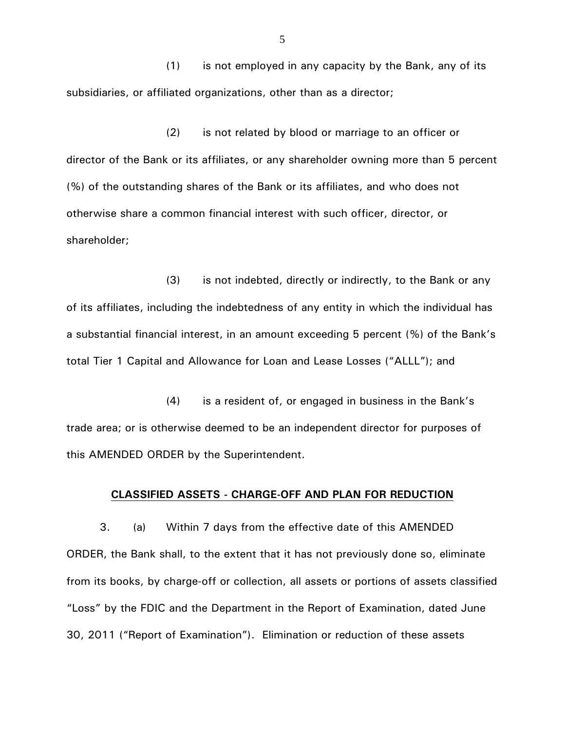(1) is not employed in any capacity by the Bank, any of its subsidiaries, or affiliated organizations, other than as a director;

(2) is not related by blood or marriage to an officer or director of the Bank or its affiliates, or any shareholder owning more than 5 percent (%) of the outstanding shares of the Bank or its affiliates, and who does not otherwise share a common financial interest with such officer, director, or shareholder;

(3) is not indebted, directly or indirectly, to the Bank or any of its affiliates, including the indebtedness of any entity in which the individual has a substantial financial interest, in an amount exceeding 5 percent (%) of the Bank's total Tier 1 Capital and Allowance for Loan and Lease Losses ("ALLL"); and

(4) is a resident of, or engaged in business in the Bank's trade area; or is otherwise deemed to be an independent director for purposes of this AMENDED ORDER by the Superintendent.

# **CLASSIFIED ASSETS - CHARGE-OFF AND PLAN FOR REDUCTION**

3. (a) Within 7 days from the effective date of this AMENDED ORDER, the Bank shall, to the extent that it has not previously done so, eliminate from its books, by charge-off or collection, all assets or portions of assets classified "Loss" by the FDIC and the Department in the Report of Examination, dated June 30, 2011 ("Report of Examination"). Elimination or reduction of these assets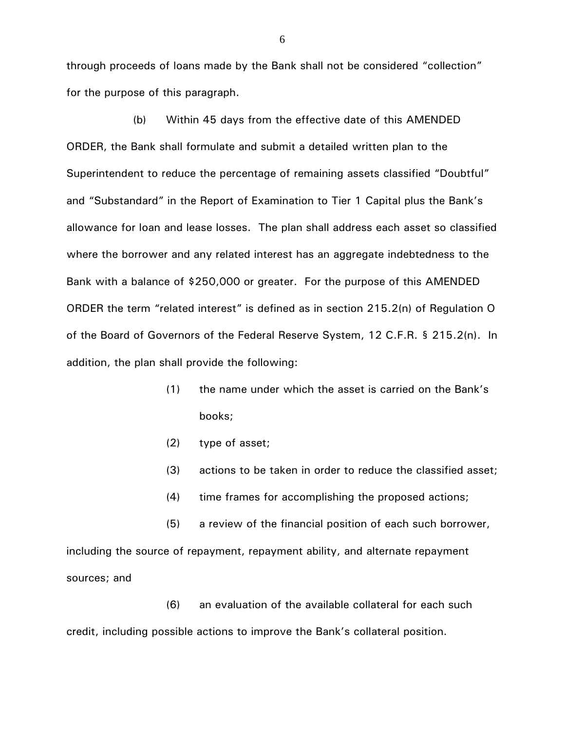through proceeds of loans made by the Bank shall not be considered "collection" for the purpose of this paragraph.

(b) Within 45 days from the effective date of this AMENDED ORDER, the Bank shall formulate and submit a detailed written plan to the Superintendent to reduce the percentage of remaining assets classified "Doubtful" and "Substandard" in the Report of Examination to Tier 1 Capital plus the Bank's allowance for loan and lease losses. The plan shall address each asset so classified where the borrower and any related interest has an aggregate indebtedness to the Bank with a balance of \$250,000 or greater. For the purpose of this AMENDED ORDER the term "related interest" is defined as in section 215.2(n) of Regulation O of the Board of Governors of the Federal Reserve System, 12 C.F.R. § 215.2(n). In addition, the plan shall provide the following:

- (1) the name under which the asset is carried on the Bank's books;
- (2) type of asset;
- (3) actions to be taken in order to reduce the classified asset;
- (4) time frames for accomplishing the proposed actions;

(5) a review of the financial position of each such borrower, including the source of repayment, repayment ability, and alternate repayment sources; and

(6) an evaluation of the available collateral for each such

credit, including possible actions to improve the Bank's collateral position.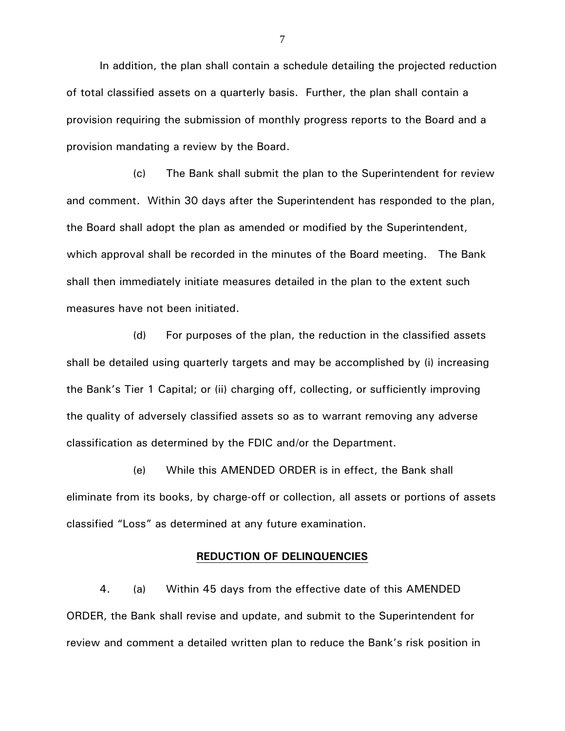In addition, the plan shall contain a schedule detailing the projected reduction of total classified assets on a quarterly basis. Further, the plan shall contain a provision requiring the submission of monthly progress reports to the Board and a provision mandating a review by the Board.

(c) The Bank shall submit the plan to the Superintendent for review and comment. Within 30 days after the Superintendent has responded to the plan, the Board shall adopt the plan as amended or modified by the Superintendent, which approval shall be recorded in the minutes of the Board meeting. The Bank shall then immediately initiate measures detailed in the plan to the extent such measures have not been initiated.

(d) For purposes of the plan, the reduction in the classified assets shall be detailed using quarterly targets and may be accomplished by (i) increasing the Bank's Tier 1 Capital; or (ii) charging off, collecting, or sufficiently improving the quality of adversely classified assets so as to warrant removing any adverse classification as determined by the FDIC and/or the Department.

(e) While this AMENDED ORDER is in effect, the Bank shall eliminate from its books, by charge-off or collection, all assets or portions of assets classified "Loss" as determined at any future examination.

# **REDUCTION OF DELINQUENCIES**

4. (a) Within 45 days from the effective date of this AMENDED ORDER, the Bank shall revise and update, and submit to the Superintendent for review and comment a detailed written plan to reduce the Bank's risk position in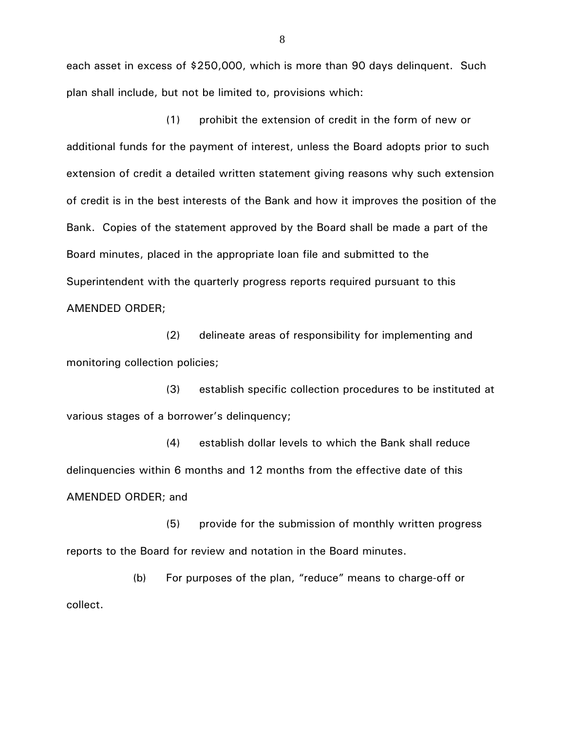each asset in excess of \$250,000, which is more than 90 days delinquent. Such plan shall include, but not be limited to, provisions which:

(1) prohibit the extension of credit in the form of new or additional funds for the payment of interest, unless the Board adopts prior to such extension of credit a detailed written statement giving reasons why such extension of credit is in the best interests of the Bank and how it improves the position of the Bank. Copies of the statement approved by the Board shall be made a part of the Board minutes, placed in the appropriate loan file and submitted to the Superintendent with the quarterly progress reports required pursuant to this AMENDED ORDER;

(2) delineate areas of responsibility for implementing and monitoring collection policies;

(3) establish specific collection procedures to be instituted at various stages of a borrower's delinquency;

(4) establish dollar levels to which the Bank shall reduce delinquencies within 6 months and 12 months from the effective date of this AMENDED ORDER; and

(5) provide for the submission of monthly written progress reports to the Board for review and notation in the Board minutes.

(b) For purposes of the plan, "reduce" means to charge-off or collect.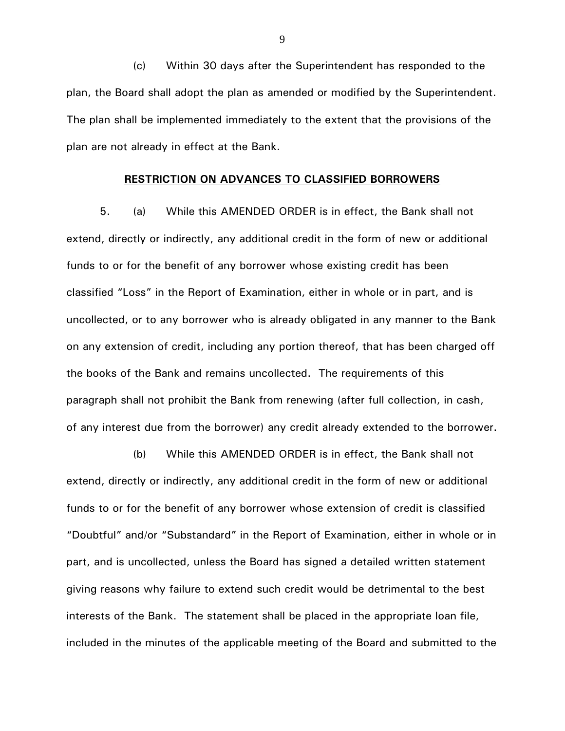(c) Within 30 days after the Superintendent has responded to the plan, the Board shall adopt the plan as amended or modified by the Superintendent. The plan shall be implemented immediately to the extent that the provisions of the plan are not already in effect at the Bank.

### **RESTRICTION ON ADVANCES TO CLASSIFIED BORROWERS**

5. (a) While this AMENDED ORDER is in effect, the Bank shall not extend, directly or indirectly, any additional credit in the form of new or additional funds to or for the benefit of any borrower whose existing credit has been classified "Loss" in the Report of Examination, either in whole or in part, and is uncollected, or to any borrower who is already obligated in any manner to the Bank on any extension of credit, including any portion thereof, that has been charged off the books of the Bank and remains uncollected. The requirements of this paragraph shall not prohibit the Bank from renewing (after full collection, in cash, of any interest due from the borrower) any credit already extended to the borrower.

(b) While this AMENDED ORDER is in effect, the Bank shall not extend, directly or indirectly, any additional credit in the form of new or additional funds to or for the benefit of any borrower whose extension of credit is classified "Doubtful" and/or "Substandard" in the Report of Examination, either in whole or in part, and is uncollected, unless the Board has signed a detailed written statement giving reasons why failure to extend such credit would be detrimental to the best interests of the Bank. The statement shall be placed in the appropriate loan file, included in the minutes of the applicable meeting of the Board and submitted to the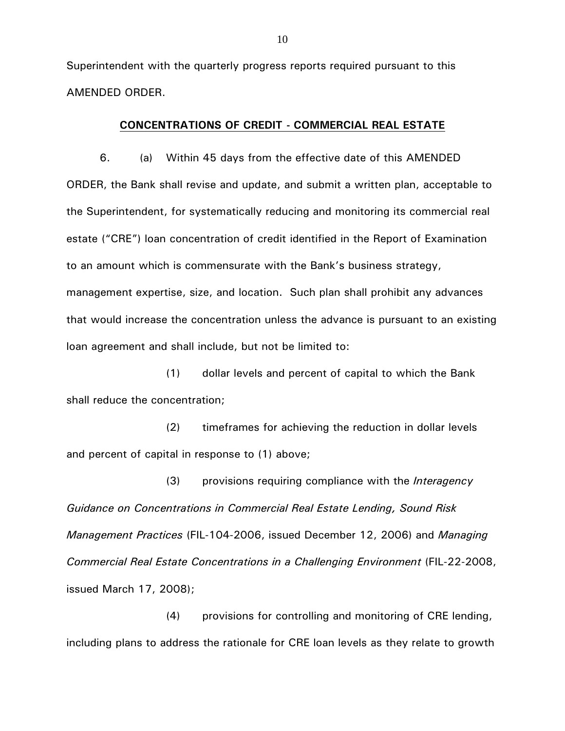Superintendent with the quarterly progress reports required pursuant to this AMENDED ORDER.

# **CONCENTRATIONS OF CREDIT - COMMERCIAL REAL ESTATE**

6. (a) Within 45 days from the effective date of this AMENDED ORDER, the Bank shall revise and update, and submit a written plan, acceptable to the Superintendent, for systematically reducing and monitoring its commercial real estate ("CRE") loan concentration of credit identified in the Report of Examination to an amount which is commensurate with the Bank's business strategy, management expertise, size, and location. Such plan shall prohibit any advances that would increase the concentration unless the advance is pursuant to an existing loan agreement and shall include, but not be limited to:

(1) dollar levels and percent of capital to which the Bank shall reduce the concentration;

(2) timeframes for achieving the reduction in dollar levels and percent of capital in response to (1) above;

 (3) provisions requiring compliance with the *Interagency Guidance on Concentrations in Commercial Real Estate Lending, Sound Risk Management Practices* (FIL-104-2006, issued December 12, 2006) and *Managing Commercial Real Estate Concentrations in a Challenging Environment* (FIL-22-2008, issued March 17, 2008);

(4) provisions for controlling and monitoring of CRE lending, including plans to address the rationale for CRE loan levels as they relate to growth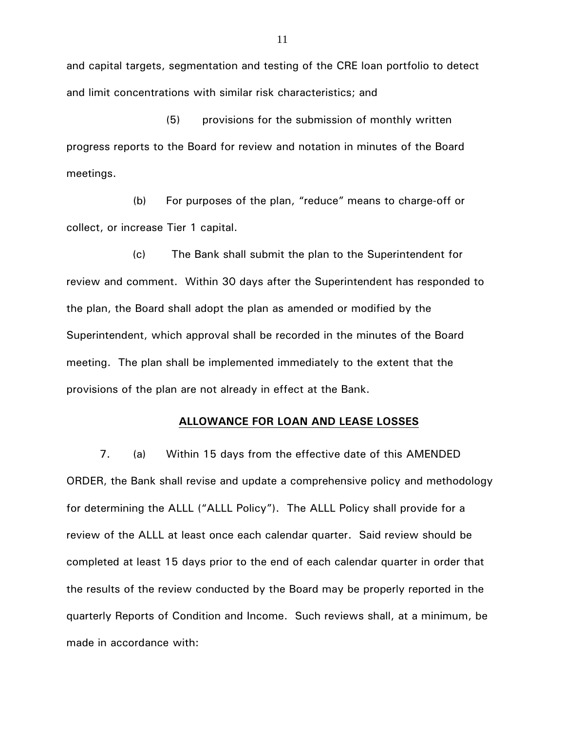and capital targets, segmentation and testing of the CRE loan portfolio to detect and limit concentrations with similar risk characteristics; and

(5) provisions for the submission of monthly written progress reports to the Board for review and notation in minutes of the Board meetings.

 (b) For purposes of the plan, "reduce" means to charge-off or collect, or increase Tier 1 capital.

 (c) The Bank shall submit the plan to the Superintendent for review and comment. Within 30 days after the Superintendent has responded to the plan, the Board shall adopt the plan as amended or modified by the Superintendent, which approval shall be recorded in the minutes of the Board meeting. The plan shall be implemented immediately to the extent that the provisions of the plan are not already in effect at the Bank.

# **ALLOWANCE FOR LOAN AND LEASE LOSSES**

7. (a) Within 15 days from the effective date of this AMENDED ORDER, the Bank shall revise and update a comprehensive policy and methodology for determining the ALLL ("ALLL Policy"). The ALLL Policy shall provide for a review of the ALLL at least once each calendar quarter. Said review should be completed at least 15 days prior to the end of each calendar quarter in order that the results of the review conducted by the Board may be properly reported in the quarterly Reports of Condition and Income. Such reviews shall, at a minimum, be made in accordance with: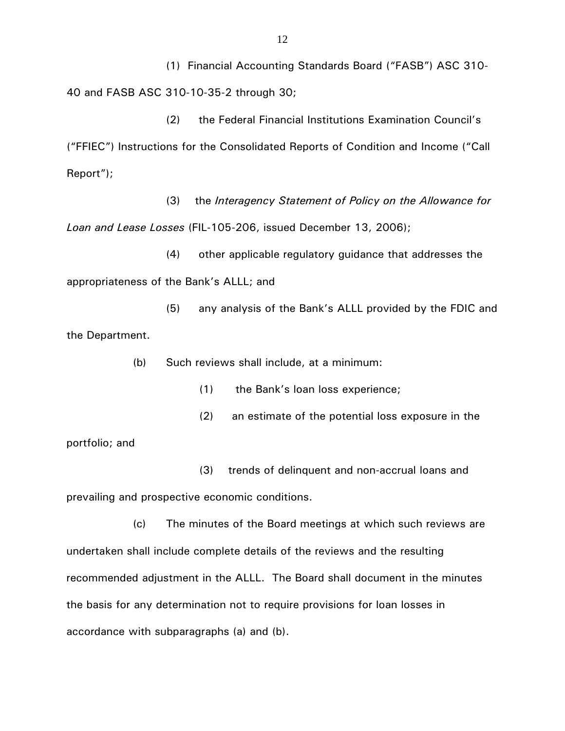(1) Financial Accounting Standards Board ("FASB") ASC 310- 40 and FASB ASC 310-10-35-2 through 30;

(2) the Federal Financial Institutions Examination Council's ("FFIEC") Instructions for the Consolidated Reports of Condition and Income ("Call Report");

(3) the *Interagency Statement of Policy on the Allowance for Loan and Lease Losses* (FIL-105-206, issued December 13, 2006);

(4) other applicable regulatory guidance that addresses the appropriateness of the Bank's ALLL; and

(5) any analysis of the Bank's ALLL provided by the FDIC and the Department.

(b) Such reviews shall include, at a minimum:

(1) the Bank's loan loss experience;

(2) an estimate of the potential loss exposure in the

portfolio; and

 (3) trends of delinquent and non-accrual loans and prevailing and prospective economic conditions.

(c) The minutes of the Board meetings at which such reviews are undertaken shall include complete details of the reviews and the resulting recommended adjustment in the ALLL. The Board shall document in the minutes the basis for any determination not to require provisions for loan losses in accordance with subparagraphs (a) and (b).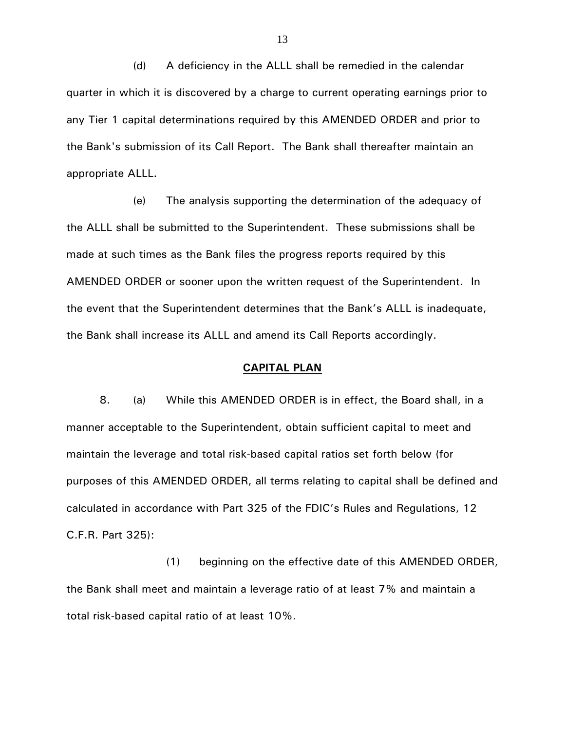(d) A deficiency in the ALLL shall be remedied in the calendar quarter in which it is discovered by a charge to current operating earnings prior to any Tier 1 capital determinations required by this AMENDED ORDER and prior to the Bank's submission of its Call Report. The Bank shall thereafter maintain an appropriate ALLL.

(e) The analysis supporting the determination of the adequacy of the ALLL shall be submitted to the Superintendent. These submissions shall be made at such times as the Bank files the progress reports required by this AMENDED ORDER or sooner upon the written request of the Superintendent. In the event that the Superintendent determines that the Bank's ALLL is inadequate, the Bank shall increase its ALLL and amend its Call Reports accordingly.

# **CAPITAL PLAN**

8. (a) While this AMENDED ORDER is in effect, the Board shall, in a manner acceptable to the Superintendent, obtain sufficient capital to meet and maintain the leverage and total risk-based capital ratios set forth below (for purposes of this AMENDED ORDER, all terms relating to capital shall be defined and calculated in accordance with Part 325 of the FDIC's Rules and Regulations, 12 C.F.R. Part 325):

(1) beginning on the effective date of this AMENDED ORDER, the Bank shall meet and maintain a leverage ratio of at least 7% and maintain a total risk-based capital ratio of at least 10%.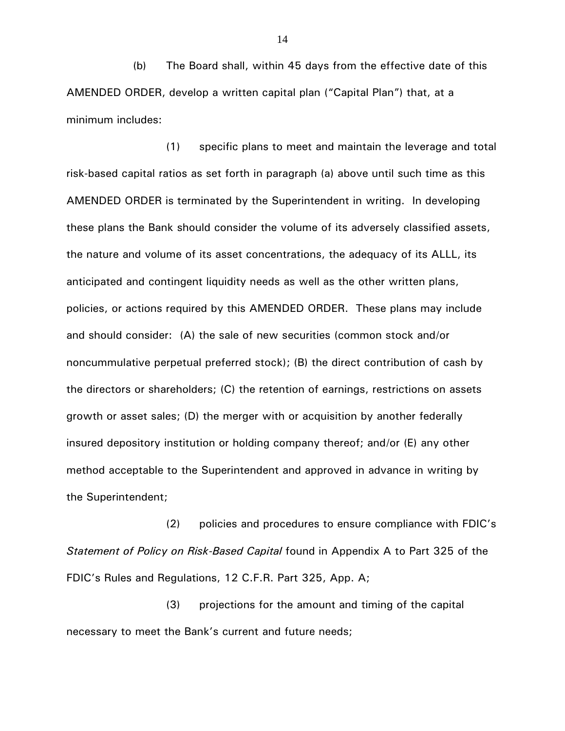(b) The Board shall, within 45 days from the effective date of this AMENDED ORDER, develop a written capital plan ("Capital Plan") that, at a minimum includes:

(1) specific plans to meet and maintain the leverage and total risk-based capital ratios as set forth in paragraph (a) above until such time as this AMENDED ORDER is terminated by the Superintendent in writing. In developing these plans the Bank should consider the volume of its adversely classified assets, the nature and volume of its asset concentrations, the adequacy of its ALLL, its anticipated and contingent liquidity needs as well as the other written plans, policies, or actions required by this AMENDED ORDER. These plans may include and should consider: (A) the sale of new securities (common stock and/or noncummulative perpetual preferred stock); (B) the direct contribution of cash by the directors or shareholders; (C) the retention of earnings, restrictions on assets growth or asset sales; (D) the merger with or acquisition by another federally insured depository institution or holding company thereof; and/or (E) any other method acceptable to the Superintendent and approved in advance in writing by the Superintendent;

(2) policies and procedures to ensure compliance with FDIC's *Statement of Policy on Risk-Based Capital* found in Appendix A to Part 325 of the FDIC's Rules and Regulations, 12 C.F.R. Part 325, App. A;

(3) projections for the amount and timing of the capital necessary to meet the Bank's current and future needs;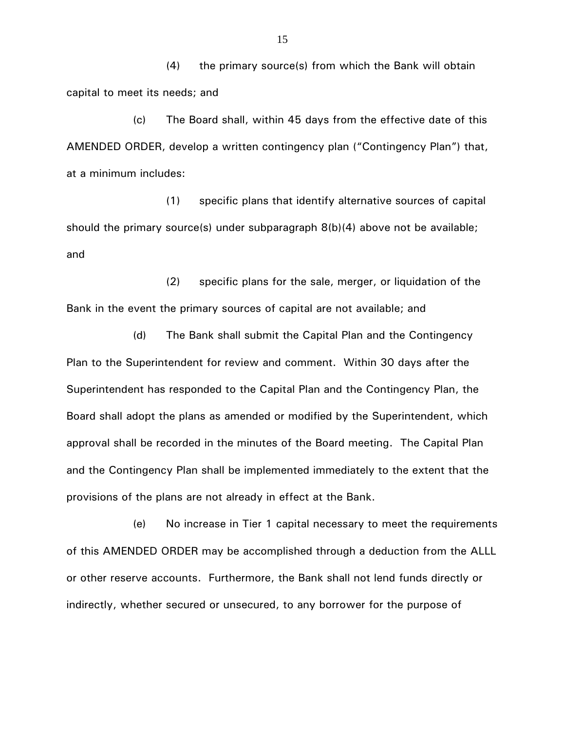(4) the primary source(s) from which the Bank will obtain capital to meet its needs; and

(c) The Board shall, within 45 days from the effective date of this AMENDED ORDER, develop a written contingency plan ("Contingency Plan") that, at a minimum includes:

(1) specific plans that identify alternative sources of capital should the primary source(s) under subparagraph 8(b)(4) above not be available; and

(2) specific plans for the sale, merger, or liquidation of the Bank in the event the primary sources of capital are not available; and

(d) The Bank shall submit the Capital Plan and the Contingency Plan to the Superintendent for review and comment. Within 30 days after the Superintendent has responded to the Capital Plan and the Contingency Plan, the Board shall adopt the plans as amended or modified by the Superintendent, which approval shall be recorded in the minutes of the Board meeting. The Capital Plan and the Contingency Plan shall be implemented immediately to the extent that the provisions of the plans are not already in effect at the Bank.

(e) No increase in Tier 1 capital necessary to meet the requirements of this AMENDED ORDER may be accomplished through a deduction from the ALLL or other reserve accounts. Furthermore, the Bank shall not lend funds directly or indirectly, whether secured or unsecured, to any borrower for the purpose of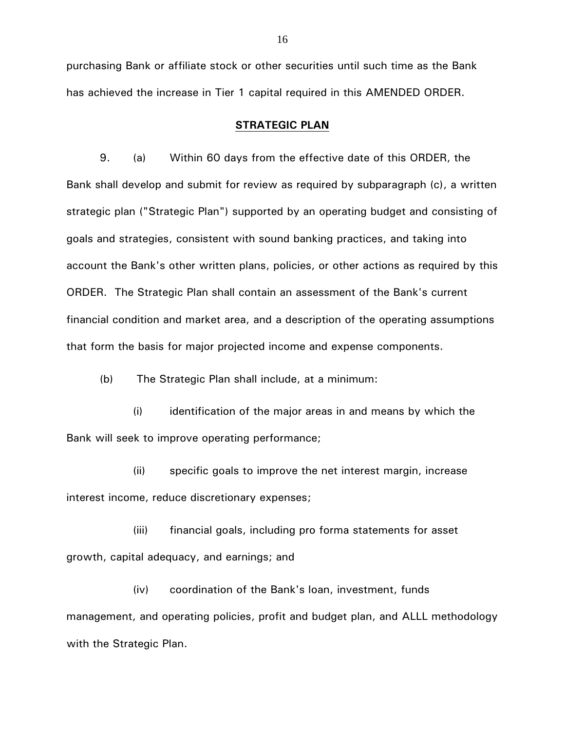purchasing Bank or affiliate stock or other securities until such time as the Bank has achieved the increase in Tier 1 capital required in this AMENDED ORDER.

### **STRATEGIC PLAN**

9. (a) Within 60 days from the effective date of this ORDER, the Bank shall develop and submit for review as required by subparagraph (c), a written strategic plan ("Strategic Plan") supported by an operating budget and consisting of goals and strategies, consistent with sound banking practices, and taking into account the Bank's other written plans, policies, or other actions as required by this ORDER. The Strategic Plan shall contain an assessment of the Bank's current financial condition and market area, and a description of the operating assumptions that form the basis for major projected income and expense components.

(b) The Strategic Plan shall include, at a minimum:

(i) identification of the major areas in and means by which the Bank will seek to improve operating performance;

(ii) specific goals to improve the net interest margin, increase interest income, reduce discretionary expenses;

(iii) financial goals, including pro forma statements for asset growth, capital adequacy, and earnings; and

(iv) coordination of the Bank's loan, investment, funds management, and operating policies, profit and budget plan, and ALLL methodology with the Strategic Plan.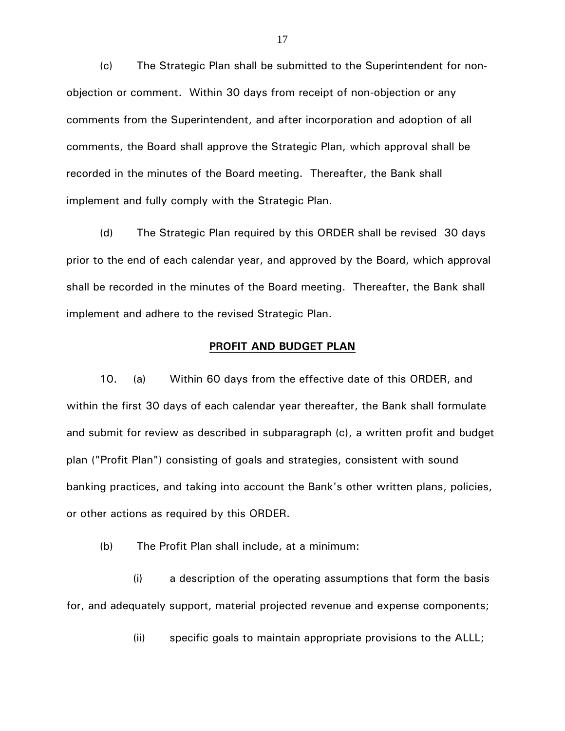(c) The Strategic Plan shall be submitted to the Superintendent for nonobjection or comment. Within 30 days from receipt of non-objection or any comments from the Superintendent, and after incorporation and adoption of all comments, the Board shall approve the Strategic Plan, which approval shall be recorded in the minutes of the Board meeting. Thereafter, the Bank shall implement and fully comply with the Strategic Plan.

(d) The Strategic Plan required by this ORDER shall be revised 30 days prior to the end of each calendar year, and approved by the Board, which approval shall be recorded in the minutes of the Board meeting. Thereafter, the Bank shall implement and adhere to the revised Strategic Plan.

# **PROFIT AND BUDGET PLAN**

10. (a) Within 60 days from the effective date of this ORDER, and within the first 30 days of each calendar year thereafter, the Bank shall formulate and submit for review as described in subparagraph (c), a written profit and budget plan ("Profit Plan") consisting of goals and strategies, consistent with sound banking practices, and taking into account the Bank's other written plans, policies, or other actions as required by this ORDER.

(b) The Profit Plan shall include, at a minimum:

(i) a description of the operating assumptions that form the basis for, and adequately support, material projected revenue and expense components;

(ii) specific goals to maintain appropriate provisions to the ALLL;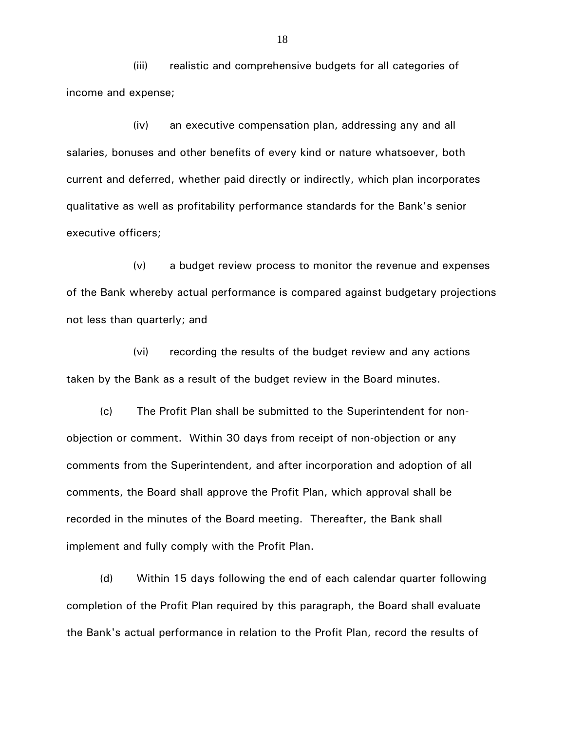(iii) realistic and comprehensive budgets for all categories of income and expense;

(iv) an executive compensation plan, addressing any and all salaries, bonuses and other benefits of every kind or nature whatsoever, both current and deferred, whether paid directly or indirectly, which plan incorporates qualitative as well as profitability performance standards for the Bank's senior executive officers;

(v) a budget review process to monitor the revenue and expenses of the Bank whereby actual performance is compared against budgetary projections not less than quarterly; and

(vi) recording the results of the budget review and any actions taken by the Bank as a result of the budget review in the Board minutes.

(c) The Profit Plan shall be submitted to the Superintendent for nonobjection or comment. Within 30 days from receipt of non-objection or any comments from the Superintendent, and after incorporation and adoption of all comments, the Board shall approve the Profit Plan, which approval shall be recorded in the minutes of the Board meeting. Thereafter, the Bank shall implement and fully comply with the Profit Plan.

(d) Within 15 days following the end of each calendar quarter following completion of the Profit Plan required by this paragraph, the Board shall evaluate the Bank's actual performance in relation to the Profit Plan, record the results of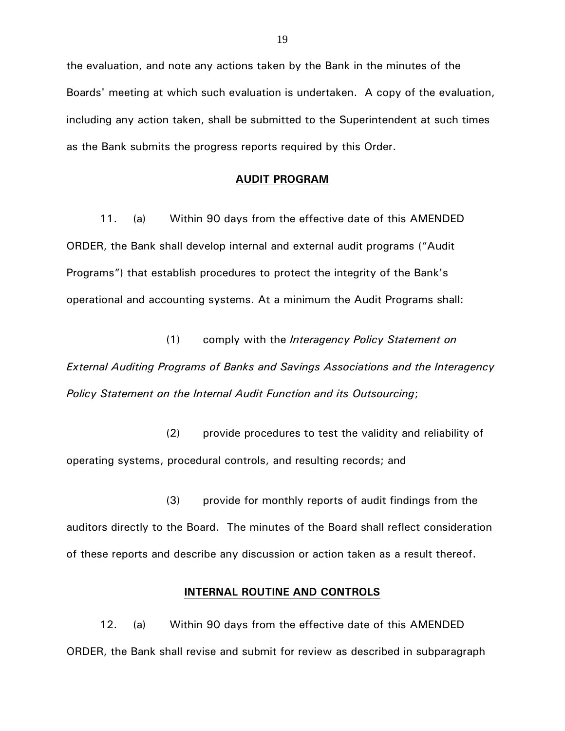the evaluation, and note any actions taken by the Bank in the minutes of the Boards' meeting at which such evaluation is undertaken. A copy of the evaluation, including any action taken, shall be submitted to the Superintendent at such times as the Bank submits the progress reports required by this Order.

# **AUDIT PROGRAM**

11. (a) Within 90 days from the effective date of this AMENDED ORDER, the Bank shall develop internal and external audit programs ("Audit Programs") that establish procedures to protect the integrity of the Bank's operational and accounting systems. At a minimum the Audit Programs shall:

(1) comply with the *Interagency Policy Statement on External Auditing Programs of Banks and Savings Associations and the Interagency Policy Statement on the Internal Audit Function and its Outsourcing*;

(2) provide procedures to test the validity and reliability of operating systems, procedural controls, and resulting records; and

(3) provide for monthly reports of audit findings from the auditors directly to the Board. The minutes of the Board shall reflect consideration of these reports and describe any discussion or action taken as a result thereof.

### **INTERNAL ROUTINE AND CONTROLS**

12. (a) Within 90 days from the effective date of this AMENDED ORDER, the Bank shall revise and submit for review as described in subparagraph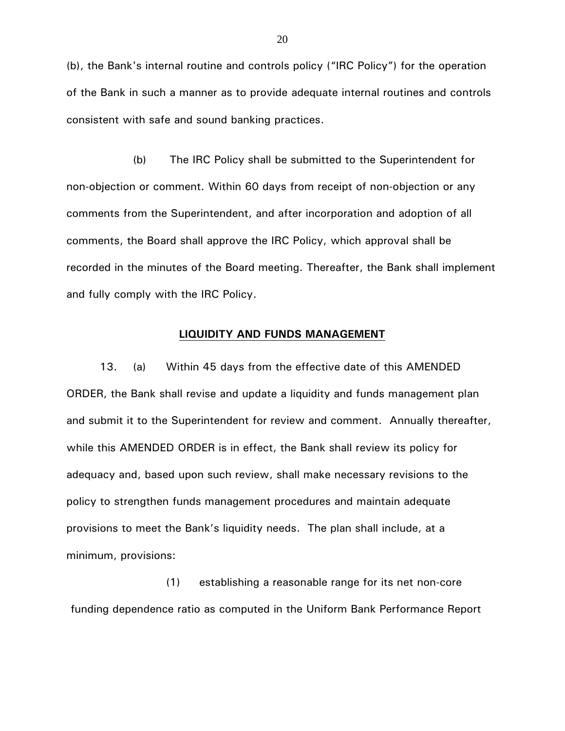(b), the Bank's internal routine and controls policy ("IRC Policy") for the operation of the Bank in such a manner as to provide adequate internal routines and controls consistent with safe and sound banking practices.

(b) The IRC Policy shall be submitted to the Superintendent for non-objection or comment. Within 60 days from receipt of non-objection or any comments from the Superintendent, and after incorporation and adoption of all comments, the Board shall approve the IRC Policy, which approval shall be recorded in the minutes of the Board meeting. Thereafter, the Bank shall implement and fully comply with the IRC Policy.

# **LIQUIDITY AND FUNDS MANAGEMENT**

13. (a) Within 45 days from the effective date of this AMENDED ORDER, the Bank shall revise and update a liquidity and funds management plan and submit it to the Superintendent for review and comment. Annually thereafter, while this AMENDED ORDER is in effect, the Bank shall review its policy for adequacy and, based upon such review, shall make necessary revisions to the policy to strengthen funds management procedures and maintain adequate provisions to meet the Bank's liquidity needs. The plan shall include, at a minimum, provisions:

(1) establishing a reasonable range for its net non-core funding dependence ratio as computed in the Uniform Bank Performance Report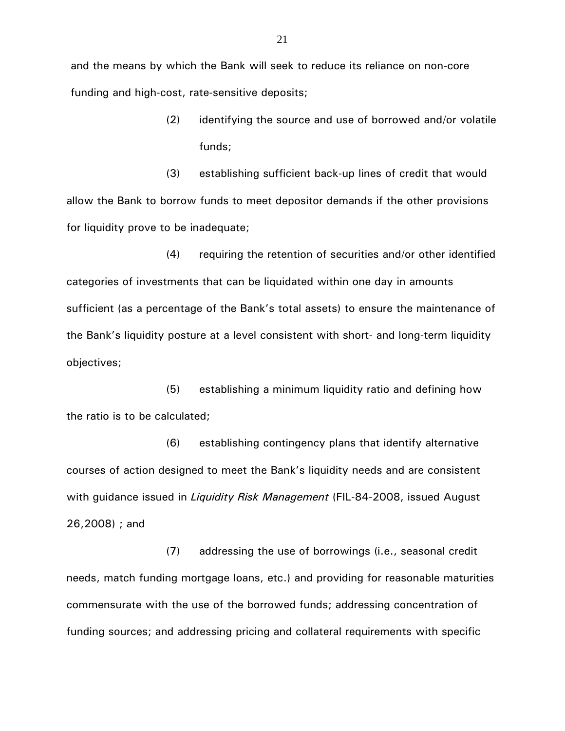and the means by which the Bank will seek to reduce its reliance on non-core funding and high-cost, rate-sensitive deposits;

> (2) identifying the source and use of borrowed and/or volatile funds;

(3) establishing sufficient back-up lines of credit that would allow the Bank to borrow funds to meet depositor demands if the other provisions for liquidity prove to be inadequate;

(4) requiring the retention of securities and/or other identified categories of investments that can be liquidated within one day in amounts sufficient (as a percentage of the Bank's total assets) to ensure the maintenance of the Bank's liquidity posture at a level consistent with short- and long-term liquidity objectives;

(5) establishing a minimum liquidity ratio and defining how the ratio is to be calculated;

(6) establishing contingency plans that identify alternative courses of action designed to meet the Bank's liquidity needs and are consistent with guidance issued in *Liquidity Risk Management* (FIL-84-2008, issued August 26,2008) ; and

(7) addressing the use of borrowings (i.e., seasonal credit needs, match funding mortgage loans, etc.) and providing for reasonable maturities commensurate with the use of the borrowed funds; addressing concentration of funding sources; and addressing pricing and collateral requirements with specific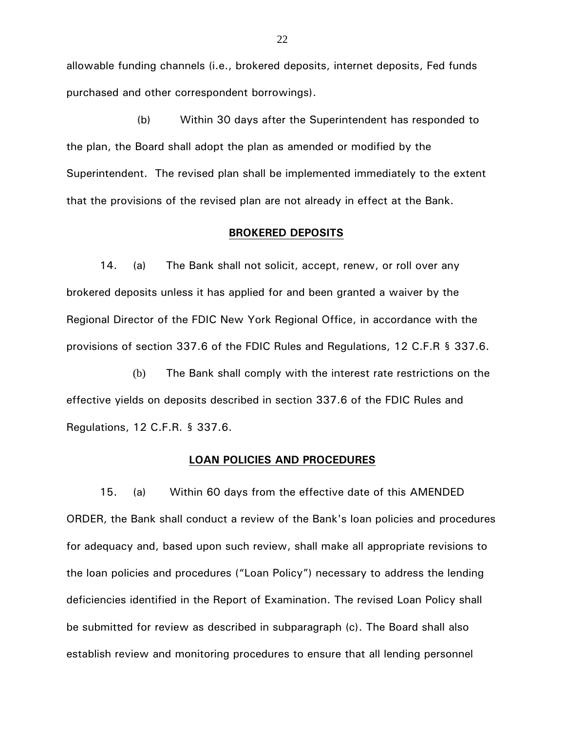allowable funding channels (i.e., brokered deposits, internet deposits, Fed funds purchased and other correspondent borrowings).

(b) Within 30 days after the Superintendent has responded to the plan, the Board shall adopt the plan as amended or modified by the Superintendent. The revised plan shall be implemented immediately to the extent that the provisions of the revised plan are not already in effect at the Bank.

### **BROKERED DEPOSITS**

14. (a) The Bank shall not solicit, accept, renew, or roll over any brokered deposits unless it has applied for and been granted a waiver by the Regional Director of the FDIC New York Regional Office, in accordance with the provisions of section 337.6 of the FDIC Rules and Regulations, 12 C.F.R § 337.6.

(b) The Bank shall comply with the interest rate restrictions on the effective yields on deposits described in section 337.6 of the FDIC Rules and Regulations, 12 C.F.R. § 337.6.

### **LOAN POLICIES AND PROCEDURES**

15. (a) Within 60 days from the effective date of this AMENDED ORDER, the Bank shall conduct a review of the Bank's loan policies and procedures for adequacy and, based upon such review, shall make all appropriate revisions to the loan policies and procedures ("Loan Policy") necessary to address the lending deficiencies identified in the Report of Examination. The revised Loan Policy shall be submitted for review as described in subparagraph (c). The Board shall also establish review and monitoring procedures to ensure that all lending personnel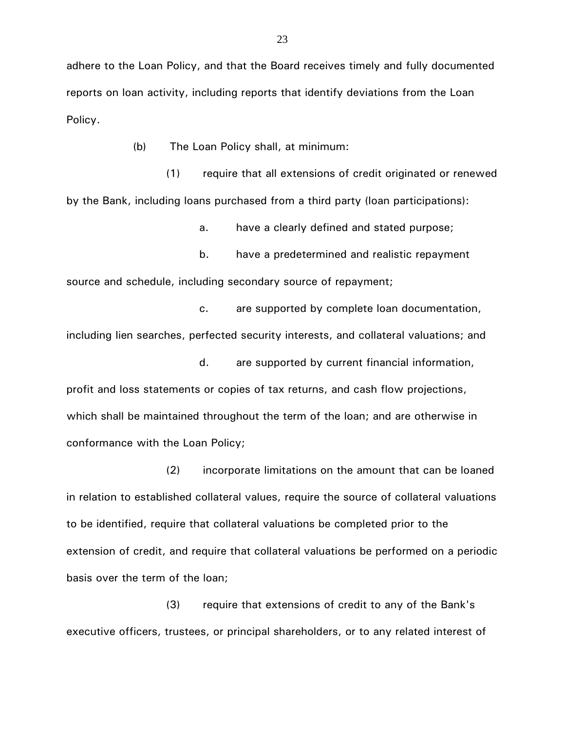adhere to the Loan Policy, and that the Board receives timely and fully documented reports on loan activity, including reports that identify deviations from the Loan Policy.

(b) The Loan Policy shall, at minimum:

(1) require that all extensions of credit originated or renewed by the Bank, including loans purchased from a third party (loan participations):

a. have a clearly defined and stated purpose;

b. have a predetermined and realistic repayment source and schedule, including secondary source of repayment;

c. are supported by complete loan documentation, including lien searches, perfected security interests, and collateral valuations; and

d. are supported by current financial information, profit and loss statements or copies of tax returns, and cash flow projections, which shall be maintained throughout the term of the loan; and are otherwise in conformance with the Loan Policy;

(2) incorporate limitations on the amount that can be loaned in relation to established collateral values, require the source of collateral valuations to be identified, require that collateral valuations be completed prior to the extension of credit, and require that collateral valuations be performed on a periodic basis over the term of the loan;

(3) require that extensions of credit to any of the Bank's executive officers, trustees, or principal shareholders, or to any related interest of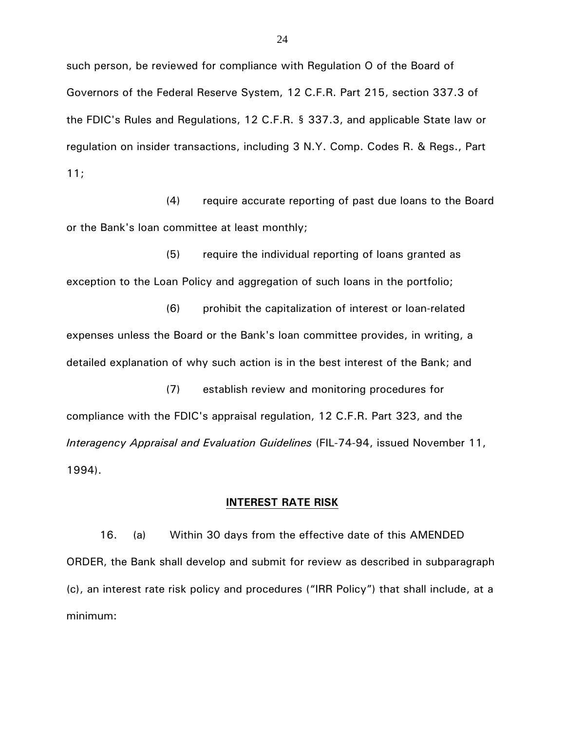such person, be reviewed for compliance with Regulation O of the Board of Governors of the Federal Reserve System, 12 C.F.R. Part 215, section 337.3 of the FDIC's Rules and Regulations, 12 C.F.R. § 337.3, and applicable State law or regulation on insider transactions, including 3 N.Y. Comp. Codes R. & Regs., Part 11;

(4) require accurate reporting of past due loans to the Board or the Bank's loan committee at least monthly;

(5) require the individual reporting of loans granted as exception to the Loan Policy and aggregation of such loans in the portfolio;

(6) prohibit the capitalization of interest or loan-related expenses unless the Board or the Bank's loan committee provides, in writing, a detailed explanation of why such action is in the best interest of the Bank; and

(7) establish review and monitoring procedures for compliance with the FDIC's appraisal regulation, 12 C.F.R. Part 323, and the *Interagency Appraisal and Evaluation Guidelines* (FIL-74-94, issued November 11, 1994).

# **INTEREST RATE RISK**

16. (a) Within 30 days from the effective date of this AMENDED ORDER, the Bank shall develop and submit for review as described in subparagraph (c), an interest rate risk policy and procedures ("IRR Policy") that shall include, at a minimum: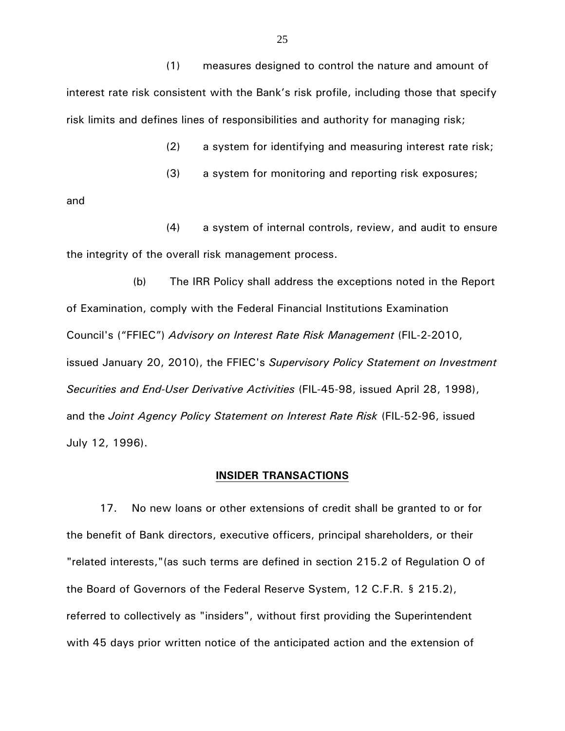(1) measures designed to control the nature and amount of interest rate risk consistent with the Bank's risk profile, including those that specify risk limits and defines lines of responsibilities and authority for managing risk;

(2) a system for identifying and measuring interest rate risk;

(3) a system for monitoring and reporting risk exposures;

and

(4) a system of internal controls, review, and audit to ensure the integrity of the overall risk management process.

(b) The IRR Policy shall address the exceptions noted in the Report of Examination, comply with the Federal Financial Institutions Examination Council's ("FFIEC") *Advisory on Interest Rate Risk Management* (FIL-2-2010, issued January 20, 2010), the FFIEC's *Supervisory Policy Statement on Investment Securities and End-User Derivative Activities* (FIL-45-98, issued April 28, 1998), and the *Joint Agency Policy Statement on Interest Rate Risk* (FIL-52-96, issued July 12, 1996).

### **INSIDER TRANSACTIONS**

17. No new loans or other extensions of credit shall be granted to or for the benefit of Bank directors, executive officers, principal shareholders, or their "related interests,"(as such terms are defined in section 215.2 of Regulation O of the Board of Governors of the Federal Reserve System, 12 C.F.R. § 215.2), referred to collectively as "insiders", without first providing the Superintendent with 45 days prior written notice of the anticipated action and the extension of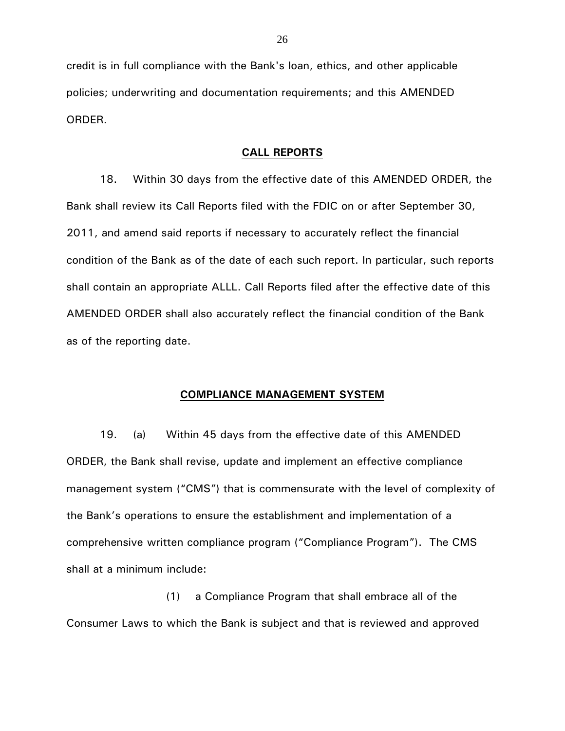credit is in full compliance with the Bank's loan, ethics, and other applicable policies; underwriting and documentation requirements; and this AMENDED ORDER.

# **CALL REPORTS**

18. Within 30 days from the effective date of this AMENDED ORDER, the Bank shall review its Call Reports filed with the FDIC on or after September 30, 2011, and amend said reports if necessary to accurately reflect the financial condition of the Bank as of the date of each such report. In particular, such reports shall contain an appropriate ALLL. Call Reports filed after the effective date of this AMENDED ORDER shall also accurately reflect the financial condition of the Bank as of the reporting date.

### **COMPLIANCE MANAGEMENT SYSTEM**

19. (a) Within 45 days from the effective date of this AMENDED ORDER, the Bank shall revise, update and implement an effective compliance management system ("CMS") that is commensurate with the level of complexity of the Bank's operations to ensure the establishment and implementation of a comprehensive written compliance program ("Compliance Program"). The CMS shall at a minimum include:

(1) a Compliance Program that shall embrace all of the Consumer Laws to which the Bank is subject and that is reviewed and approved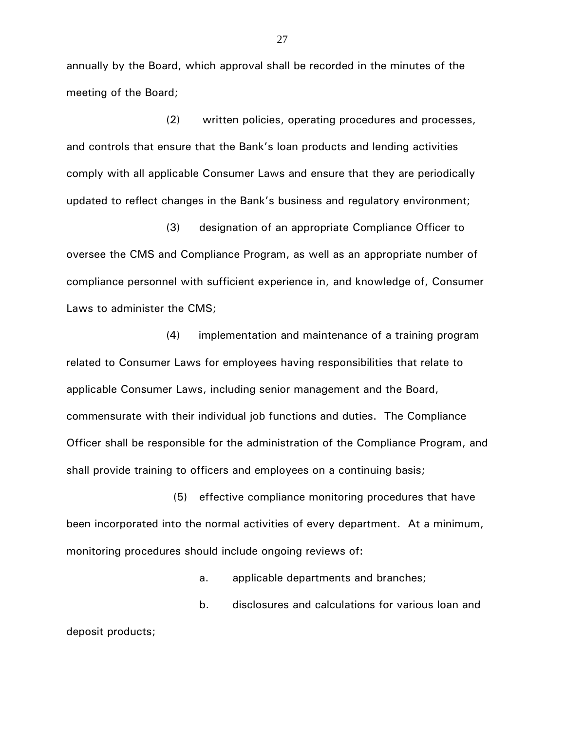annually by the Board, which approval shall be recorded in the minutes of the meeting of the Board;

(2) written policies, operating procedures and processes, and controls that ensure that the Bank's loan products and lending activities comply with all applicable Consumer Laws and ensure that they are periodically updated to reflect changes in the Bank's business and regulatory environment;

(3) designation of an appropriate Compliance Officer to oversee the CMS and Compliance Program, as well as an appropriate number of compliance personnel with sufficient experience in, and knowledge of, Consumer Laws to administer the CMS;

(4) implementation and maintenance of a training program related to Consumer Laws for employees having responsibilities that relate to applicable Consumer Laws, including senior management and the Board, commensurate with their individual job functions and duties. The Compliance Officer shall be responsible for the administration of the Compliance Program, and shall provide training to officers and employees on a continuing basis;

 (5) effective compliance monitoring procedures that have been incorporated into the normal activities of every department. At a minimum, monitoring procedures should include ongoing reviews of:

a. applicable departments and branches;

b. disclosures and calculations for various loan and

deposit products;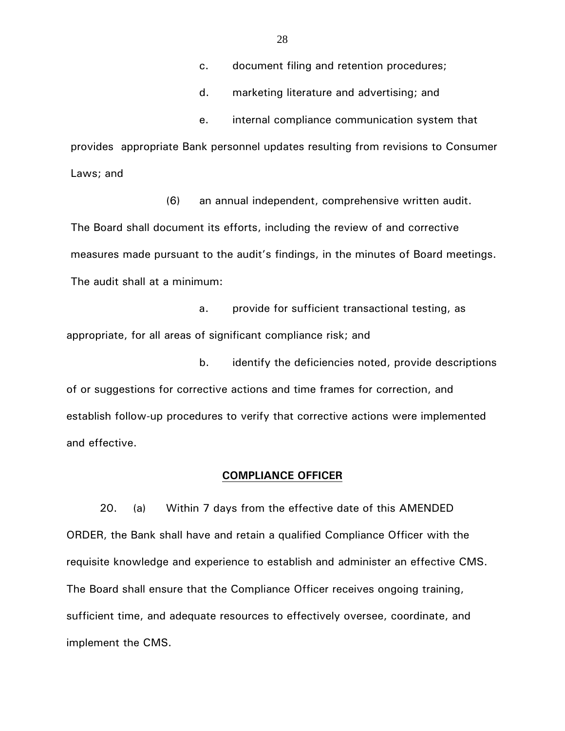c. document filing and retention procedures;

d. marketing literature and advertising; and

e. internal compliance communication system that

provides appropriate Bank personnel updates resulting from revisions to Consumer Laws; and

(6) an annual independent, comprehensive written audit. The Board shall document its efforts, including the review of and corrective measures made pursuant to the audit's findings, in the minutes of Board meetings. The audit shall at a minimum:

 a. provide for sufficient transactional testing, as appropriate, for all areas of significant compliance risk; and

b. identify the deficiencies noted, provide descriptions of or suggestions for corrective actions and time frames for correction, and establish follow-up procedures to verify that corrective actions were implemented and effective.

### **COMPLIANCE OFFICER**

20. (a) Within 7 days from the effective date of this AMENDED ORDER, the Bank shall have and retain a qualified Compliance Officer with the requisite knowledge and experience to establish and administer an effective CMS. The Board shall ensure that the Compliance Officer receives ongoing training, sufficient time, and adequate resources to effectively oversee, coordinate, and implement the CMS.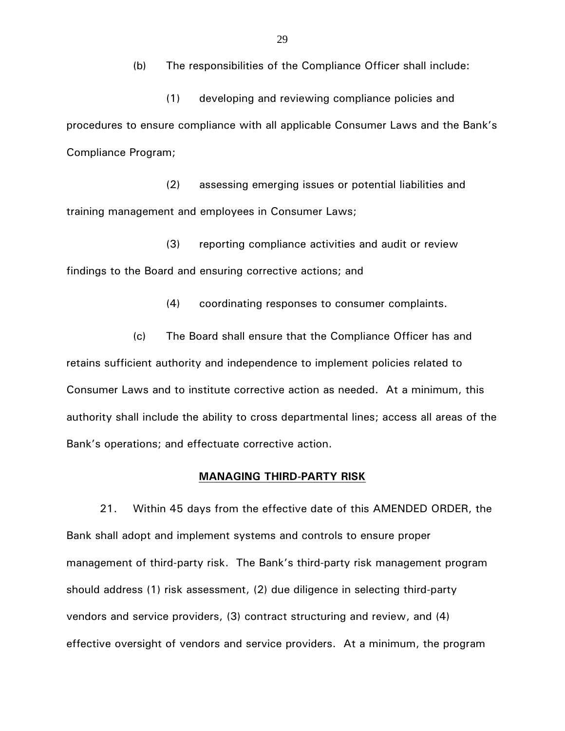(b) The responsibilities of the Compliance Officer shall include:

(1) developing and reviewing compliance policies and procedures to ensure compliance with all applicable Consumer Laws and the Bank's Compliance Program;

(2) assessing emerging issues or potential liabilities and training management and employees in Consumer Laws;

(3) reporting compliance activities and audit or review findings to the Board and ensuring corrective actions; and

(4) coordinating responses to consumer complaints.

(c) The Board shall ensure that the Compliance Officer has and retains sufficient authority and independence to implement policies related to Consumer Laws and to institute corrective action as needed. At a minimum, this authority shall include the ability to cross departmental lines; access all areas of the Bank's operations; and effectuate corrective action.

### **MANAGING THIRD-PARTY RISK**

21. Within 45 days from the effective date of this AMENDED ORDER, the Bank shall adopt and implement systems and controls to ensure proper management of third-party risk. The Bank's third-party risk management program should address (1) risk assessment, (2) due diligence in selecting third-party vendors and service providers, (3) contract structuring and review, and (4) effective oversight of vendors and service providers. At a minimum, the program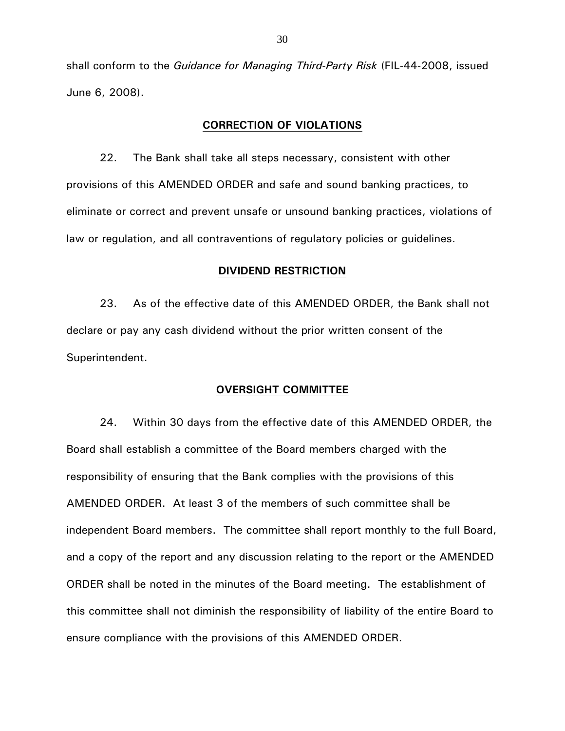shall conform to the *Guidance for Managing Third-Party Risk* (FIL-44-2008, issued June 6, 2008).

# **CORRECTION OF VIOLATIONS**

22. The Bank shall take all steps necessary, consistent with other provisions of this AMENDED ORDER and safe and sound banking practices, to eliminate or correct and prevent unsafe or unsound banking practices, violations of law or regulation, and all contraventions of regulatory policies or guidelines.

### **DIVIDEND RESTRICTION**

23. As of the effective date of this AMENDED ORDER, the Bank shall not declare or pay any cash dividend without the prior written consent of the Superintendent.

# **OVERSIGHT COMMITTEE**

24. Within 30 days from the effective date of this AMENDED ORDER, the Board shall establish a committee of the Board members charged with the responsibility of ensuring that the Bank complies with the provisions of this AMENDED ORDER. At least 3 of the members of such committee shall be independent Board members. The committee shall report monthly to the full Board, and a copy of the report and any discussion relating to the report or the AMENDED ORDER shall be noted in the minutes of the Board meeting. The establishment of this committee shall not diminish the responsibility of liability of the entire Board to ensure compliance with the provisions of this AMENDED ORDER.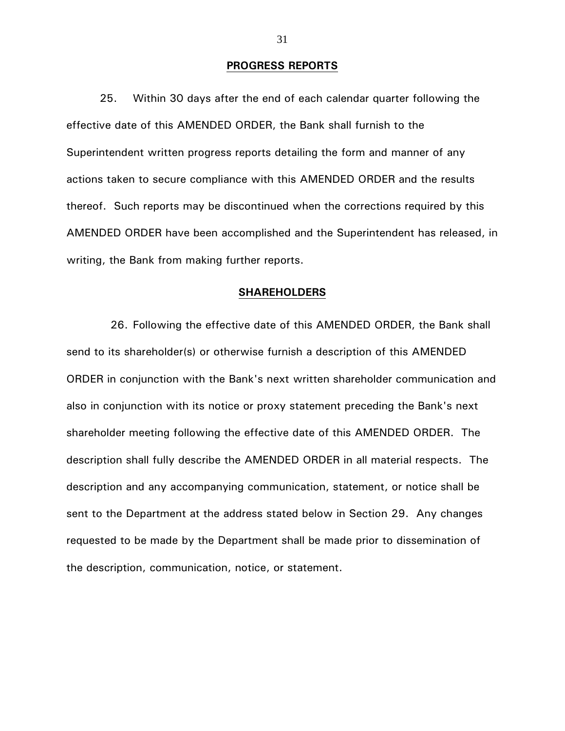### **PROGRESS REPORTS**

25. Within 30 days after the end of each calendar quarter following the effective date of this AMENDED ORDER, the Bank shall furnish to the Superintendent written progress reports detailing the form and manner of any actions taken to secure compliance with this AMENDED ORDER and the results thereof. Such reports may be discontinued when the corrections required by this AMENDED ORDER have been accomplished and the Superintendent has released, in writing, the Bank from making further reports.

### **SHAREHOLDERS**

 26. Following the effective date of this AMENDED ORDER, the Bank shall send to its shareholder(s) or otherwise furnish a description of this AMENDED ORDER in conjunction with the Bank's next written shareholder communication and also in conjunction with its notice or proxy statement preceding the Bank's next shareholder meeting following the effective date of this AMENDED ORDER. The description shall fully describe the AMENDED ORDER in all material respects. The description and any accompanying communication, statement, or notice shall be sent to the Department at the address stated below in Section 29. Any changes requested to be made by the Department shall be made prior to dissemination of the description, communication, notice, or statement.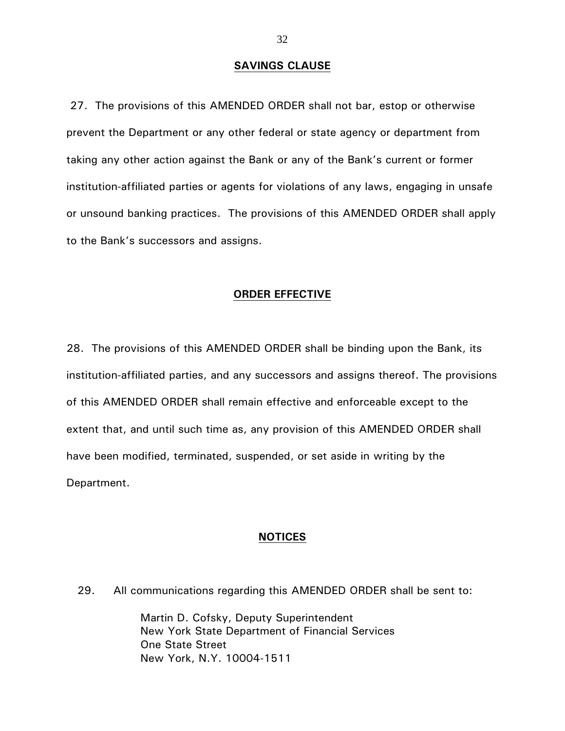# **SAVINGS CLAUSE**

27. The provisions of this AMENDED ORDER shall not bar, estop or otherwise prevent the Department or any other federal or state agency or department from taking any other action against the Bank or any of the Bank's current or former institution-affiliated parties or agents for violations of any laws, engaging in unsafe or unsound banking practices. The provisions of this AMENDED ORDER shall apply to the Bank's successors and assigns.

# **ORDER EFFECTIVE**

28. The provisions of this AMENDED ORDER shall be binding upon the Bank, its institution-affiliated parties, and any successors and assigns thereof. The provisions of this AMENDED ORDER shall remain effective and enforceable except to the extent that, and until such time as, any provision of this AMENDED ORDER shall have been modified, terminated, suspended, or set aside in writing by the Department.

### **NOTICES**

29. All communications regarding this AMENDED ORDER shall be sent to:

 Martin D. Cofsky, Deputy Superintendent New York State Department of Financial Services One State Street New York, N.Y. 10004-1511